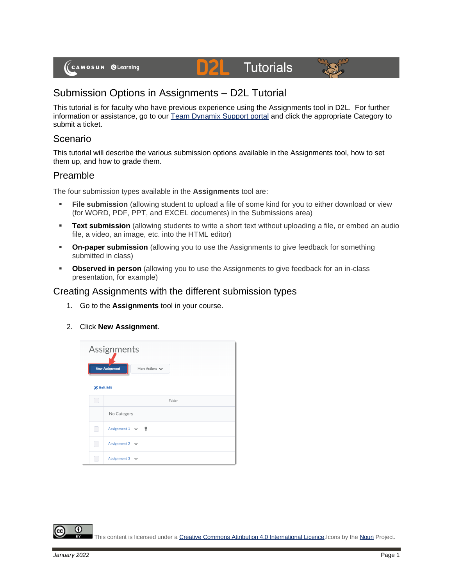# **Tutorials**



## Submission Options in Assignments – D2L Tutorial

This tutorial is for faculty who have previous experience using the Assignments tool in D2L. For further information or assistance, go to our [Team Dynamix Support portal](https://camosun.teamdynamix.com/TDClient/67/Portal/Requests/ServiceCatalog?CategoryID=523) and click the appropriate Category to submit a ticket.

DZ

#### Scenario

This tutorial will describe the various submission options available in the Assignments tool, how to set them up, and how to grade them.

#### Preamble

The four submission types available in the **Assignments** tool are:

- **Eile submission** (allowing student to upload a file of some kind for you to either download or view (for WORD, PDF, PPT, and EXCEL documents) in the Submissions area)
- **Ext submission** (allowing students to write a short text without uploading a file, or embed an audio file, a video, an image, etc. into the HTML editor)
- **On-paper submission** (allowing you to use the Assignments to give feedback for something submitted in class)
- **Observed in person** (allowing you to use the Assignments to give feedback for an in-class presentation, for example)

#### Creating Assignments with the different submission types

- 1. Go to the **Assignments** tool in your course.
- 2. Click **New Assignment**.

|    | Assignments<br><b>New Assignment</b><br>More Actions V<br><b>Bulk Edit</b> |  |  |  |
|----|----------------------------------------------------------------------------|--|--|--|
|    | Folder                                                                     |  |  |  |
|    | No Category                                                                |  |  |  |
| L. | Assignment $1 \vee$ ?                                                      |  |  |  |
|    | Assignment $2 \rightarrow$                                                 |  |  |  |
|    | Assignment $3 \quad \vee$                                                  |  |  |  |

This content is licensed under [a Creative Commons Attribution 4.0 International Licence.I](https://creativecommons.org/licenses/by/4.0/)cons by th[e Noun](https://creativecommons.org/website-icons/) Project.

 $\boldsymbol{\omega}$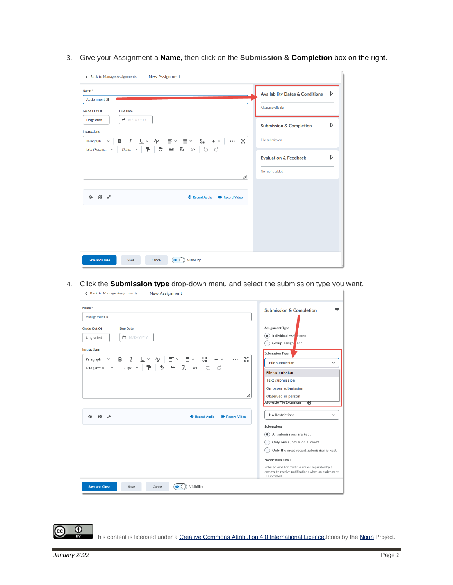3. Give your Assignment a **Name,** then click on the **Submission & Completion** box on the right.

| <b>New Assignment</b><br>← Back to Manage Assignments                                                                                                                                                                                                                                                                                                                                                               |                                                                     |
|---------------------------------------------------------------------------------------------------------------------------------------------------------------------------------------------------------------------------------------------------------------------------------------------------------------------------------------------------------------------------------------------------------------------|---------------------------------------------------------------------|
| Name*<br>Assignment 5                                                                                                                                                                                                                                                                                                                                                                                               | D<br><b>Availability Dates &amp; Conditions</b><br>Always available |
| <b>Grade Out Of</b><br><b>Due Date</b><br>■ M/D/YYYY<br>Ungraded<br><b>Instructions</b>                                                                                                                                                                                                                                                                                                                             | D<br><b>Submission &amp; Completion</b>                             |
| Paragraph $\vee$ <b>B</b> $I$ $\underline{\cup}$ $\vee$ $\uparrow$ $\underline{\vee}$ $\overline{\equiv}$ $\vee$ $\underline{\equiv}$ $\vee$ $\underline{\parallel}$ $\underline{\parallel}$ $+$ $\vee$<br>БZ<br>V<br>$\sim$ 0.000 $\sim$<br>Lato (Recom $\vee$   17.1px $\vee$   $\blacksquare$   $\clubsuit$ $\blacksquare$   $\clubsuit$ $\clubsuit$ $\clubsuit$ $\heartsuit$ $\to$ $\heartsuit$ $\circ$ $\circ$ | File submission                                                     |
| h.                                                                                                                                                                                                                                                                                                                                                                                                                  | D<br><b>Evaluation &amp; Feedback</b><br>No rubric added            |
| 4 48 8<br>Record Audio<br><b>EM</b> Record Video                                                                                                                                                                                                                                                                                                                                                                    |                                                                     |
|                                                                                                                                                                                                                                                                                                                                                                                                                     |                                                                     |
|                                                                                                                                                                                                                                                                                                                                                                                                                     |                                                                     |
| <b>Save and Close</b><br><b>Visibility</b><br>Save<br>Cancel<br>$\bullet$                                                                                                                                                                                                                                                                                                                                           |                                                                     |

4. Click the **Submission type** drop-down menu and select the submission type you want.

| Name*                                                                                                                                                                                     | <b>Submission &amp; Completion</b>                                                                                      |
|-------------------------------------------------------------------------------------------------------------------------------------------------------------------------------------------|-------------------------------------------------------------------------------------------------------------------------|
| Assignment 5                                                                                                                                                                              |                                                                                                                         |
| <b>Grade Out Of</b><br>Due Date                                                                                                                                                           | Assignment Type                                                                                                         |
| ■ M/D/YYYY<br>Ungraded                                                                                                                                                                    | Individual Assi nment<br>$\left( \bullet \right)$<br>Group Assign ent                                                   |
| <b>Instructions</b>                                                                                                                                                                       | <b>Submission Type</b>                                                                                                  |
| Ⅰ リ > タ   三 > 三 ><br>뉇<br>5š<br>в<br>$+$ $\vee$<br>$\cdots$<br>Paragraph<br>$\checkmark$<br>$\equiv$<br>$\ddot{\mathcal{D}}$<br>EQ<br>b d<br>$17.1px \sim$<br>Lato (Recom<br>$\checkmark$ | File submission<br>$\checkmark$                                                                                         |
|                                                                                                                                                                                           | <b>File submission</b>                                                                                                  |
|                                                                                                                                                                                           | <b>Text submission</b>                                                                                                  |
|                                                                                                                                                                                           | On paper submission                                                                                                     |
| h.                                                                                                                                                                                        | Observed in person                                                                                                      |
|                                                                                                                                                                                           | <b>Allowable File Extensions</b><br>$\boldsymbol{v}$                                                                    |
| $48\degree$<br>⊕<br>Record Audio<br><b>Record Video</b>                                                                                                                                   | No Restrictions<br>$\checkmark$                                                                                         |
|                                                                                                                                                                                           | Submissions                                                                                                             |
|                                                                                                                                                                                           | All submissions are kept<br>◉                                                                                           |
|                                                                                                                                                                                           | Only one submission allowed                                                                                             |
|                                                                                                                                                                                           | Only the most recent submission is kept                                                                                 |
|                                                                                                                                                                                           | <b>Notification Email</b>                                                                                               |
|                                                                                                                                                                                           | Enter an email or multiple emails separated by a<br>comma, to receive notifications when an assignment<br>is submitted. |

This content is licensed under [a Creative Commons Attribution 4.0 International Licence.I](https://creativecommons.org/licenses/by/4.0/)cons by th[e Noun](https://creativecommons.org/website-icons/) Project.

(cc

 $\overline{\odot}$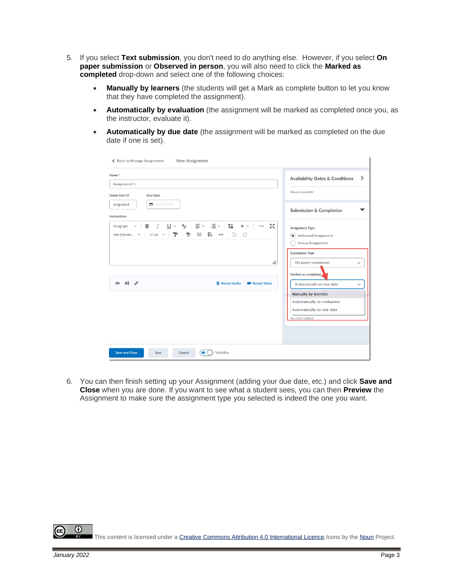- 5. If you select **Text submission**, you don't need to do anything else. However, if you select **On paper submission** or **Observed in person**, you will also need to click the **Marked as completed** drop-down and select one of the following choices:
	- **Manually by learners** (the students will get a Mark as complete button to let you know that they have completed the assignment).
	- **Automatically by evaluation** (the assignment will be marked as completed once you, as the instructor, evaluate it).
	- **Automatically by due date** (the assignment will be marked as completed on the due date if one is set).

| Name <sup>*</sup><br>Assignment 5<br><b>Grade Out Of</b><br>Due Date<br>■ M/D/YYYY<br>Ungraded                                                                                                                                                                                            | D<br><b>Availability Dates &amp; Conditions</b><br>Always available                   |
|-------------------------------------------------------------------------------------------------------------------------------------------------------------------------------------------------------------------------------------------------------------------------------------------|---------------------------------------------------------------------------------------|
|                                                                                                                                                                                                                                                                                           |                                                                                       |
| Instructions                                                                                                                                                                                                                                                                              | <b>Submission &amp; Completion</b>                                                    |
| $I \cup \vee$ $\rightarrow$ $\equiv$ $\vee$ $\equiv$ $\vee$ $\equiv$<br>$_{\circ}^{\bullet\,\shortparallel}$<br>5ð<br>в<br>$+$ $\vee$<br>$\cdots$<br>$\checkmark$<br>Paragraph<br><b>P</b> 9<br>$\equiv$ 2 $\sim$ 5 $\circ$<br>$17.1px \sim$<br>Lato (Recom v<br>$\left( \bullet \right)$ | <b>Assignment Type</b><br><b>Individual Assignment</b><br><b>Group Assignment</b>     |
| h.                                                                                                                                                                                                                                                                                        | <b>Submission Type</b><br>On paper submission<br>$\checkmark$<br>Marked as completed. |
| $48$ $8^{\circ}$<br>$\bigcirc$<br>Record Audio<br><b>B</b> Record Video                                                                                                                                                                                                                   | Automatically on due date<br>$\check{ }$<br><b>Manually by learners</b>               |
|                                                                                                                                                                                                                                                                                           | Automatically on evaluation<br>Automatically on due date<br>No rubric added           |
| <b>Save and Close</b><br><b>Visibility</b><br>Cancel<br>$\bullet$<br>Save                                                                                                                                                                                                                 |                                                                                       |

6. You can then finish setting up your Assignment (adding your due date, etc.) and click **Save and Close** when you are done. If you want to see what a student sees, you can then **Preview** the Assignment to make sure the assignment type you selected is indeed the one you want.

This content is licensed under [a Creative Commons Attribution 4.0 International Licence.I](https://creativecommons.org/licenses/by/4.0/)cons by th[e Noun](https://creativecommons.org/website-icons/) Project.

⋒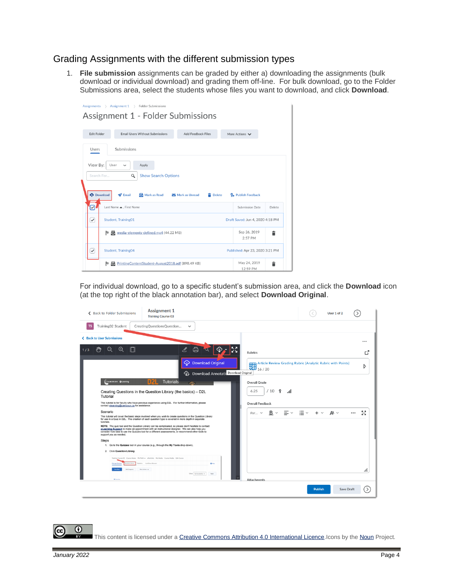### Grading Assignments with the different submission types

1. **File submission** assignments can be graded by either a) downloading the assignments (bulk download or individual download) and grading them off-line. For bulk download, go to the Folder Submissions area, select the students whose files you want to download, and click **Download**.

|                    | $\angle$ Assignment 1 $\angle$<br>Assignments                  | <b>Folder Submissions</b>                         |                                 |                                 |   |
|--------------------|----------------------------------------------------------------|---------------------------------------------------|---------------------------------|---------------------------------|---|
|                    |                                                                | Assignment 1 - Folder Submissions                 |                                 |                                 |   |
|                    |                                                                |                                                   |                                 |                                 |   |
| <b>Edit Folder</b> |                                                                | <b>Email Users Without Submissions</b>            | <b>Add Feedback Files</b>       | More Actions V                  |   |
|                    |                                                                |                                                   |                                 |                                 |   |
| Users              | Submissions                                                    |                                                   |                                 |                                 |   |
|                    |                                                                |                                                   |                                 |                                 |   |
| View By:           | User<br>$\check{ }$                                            | Apply                                             |                                 |                                 |   |
|                    | Search For                                                     | Q<br><b>Show Search Options</b>                   |                                 |                                 |   |
|                    |                                                                |                                                   |                                 |                                 |   |
|                    | <b>Download</b><br>$\blacktriangleright$ Email                 | Mark as Read                                      | Mark as Unread<br><b>Delete</b> | P <sub>a</sub> Publish Feedback |   |
| ☑                  | Last Name . First Name                                         |                                                   |                                 | Submission Date                 |   |
|                    | <b>Student, Training01</b><br>Draft Saved: Jun 4, 2020 4:18 PM |                                                   |                                 | Delete                          |   |
| $\checkmark$       |                                                                |                                                   |                                 |                                 |   |
|                    |                                                                |                                                   |                                 |                                 |   |
|                    | Þ                                                              | media-elements-defined.mp4 (44.22 MB)             |                                 | Sep 26, 2019<br>2:57 PM         | â |
| ✓                  | <b>Student, Training04</b>                                     |                                                   |                                 | Published: Apr 23, 2020 3:21 PM |   |
|                    | Þ                                                              | PrintingContentStudent-August2018.pdf (898.49 KB) |                                 | May 24, 2019                    | â |

For individual download, go to a specific student's submission area, and click the **Download** icon (at the top right of the black annotation bar), and select **Download Original**.



This content is licensed under [a Creative Commons Attribution 4.0 International Licence.I](https://creativecommons.org/licenses/by/4.0/)cons by th[e Noun](https://creativecommons.org/website-icons/) Project.

 $\odot$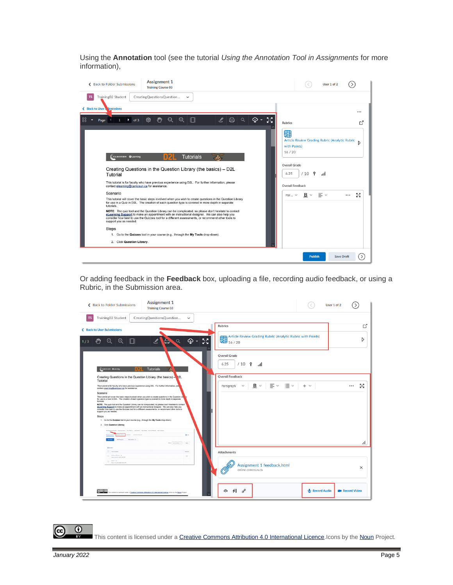Using the **Annotation** tool (see the tutorial *Using the Annotation Tool in Assignments* for more information),

| ← Back to Folder Submissions                                                                                                                                                                                                                                                                                                                                                                                                                                                                                                                                                                                                                                                                                                                                                                                                                                                                | <b>Assignment 1</b><br><b>Training Course 03</b> |                                                                                                      |                |                      |                                                                                                                       | User 1 of 2                                                                                     |
|---------------------------------------------------------------------------------------------------------------------------------------------------------------------------------------------------------------------------------------------------------------------------------------------------------------------------------------------------------------------------------------------------------------------------------------------------------------------------------------------------------------------------------------------------------------------------------------------------------------------------------------------------------------------------------------------------------------------------------------------------------------------------------------------------------------------------------------------------------------------------------------------|--------------------------------------------------|------------------------------------------------------------------------------------------------------|----------------|----------------------|-----------------------------------------------------------------------------------------------------------------------|-------------------------------------------------------------------------------------------------|
| Training02 Student<br><b>TS</b>                                                                                                                                                                                                                                                                                                                                                                                                                                                                                                                                                                                                                                                                                                                                                                                                                                                             | CreatingQuestionsQuestion                        | $\checkmark$                                                                                         |                |                      |                                                                                                                       |                                                                                                 |
| ← Back to User Mbmissions                                                                                                                                                                                                                                                                                                                                                                                                                                                                                                                                                                                                                                                                                                                                                                                                                                                                   |                                                  |                                                                                                      |                |                      |                                                                                                                       |                                                                                                 |
| 88<br>$\rightarrow$ of 3<br>$1 -$<br>Page<br>٠                                                                                                                                                                                                                                                                                                                                                                                                                                                                                                                                                                                                                                                                                                                                                                                                                                              | දසු<br>$\zeta_{\mu\nu}$<br>$\Theta$              | $\oplus$<br>П                                                                                        | ℤ<br>$\ominus$ | ᅕᅔ<br>क़<br>$\alpha$ | <b>Rubrics</b>                                                                                                        | гč                                                                                              |
| CAMOSUN OLearning<br>Creating Questions in the Question Library (the basics) - D2L<br>Tutorial<br>This tutorial is for faculty who have previous experience using D2L. For further information, please<br>contact elearning@camosun.ca for assistance.<br>Scenario<br>This tutorial will cover the basic steps involved when you wish to create questions in the Question Library<br>for use in a Quiz in D2L. The creation of each question type is covered in more depth in separate<br>tutorials.<br>NOTE: The quiz tool and the Question Library can be complicated, so please don't hesitate to contact<br>eLearning Support to make an appointment with an instructional designer. We can also help you<br>consider how best to use the Quizzes tool for a different assessments, or recommend other tools to<br>support you as needed.<br><b>Steps</b><br>2. Click Question Library. |                                                  | <b>Tutorials</b><br>1. Go to the Quizzes tool in your course (e.g., through the My Tools drop-down). |                |                      | 翾<br>with Points)<br>16/20<br><b>Overall Grade</b><br>୍ଚ<br>/10<br>6.25<br>Overall Feedback<br>$B \sim$<br>Par $\vee$ | Article Review Grading Rubric (Analytic Rubric<br>Ŋ<br>اس<br>成月<br>$\equiv$ $\sim$<br><br>of St |

Or adding feedback in the **Feedback** box, uploading a file, recording audio feedback, or using a Rubric, in the Submission area.

| <b>Assignment 1</b><br>← Back to Folder Submissions<br><b>Training Course 03</b>                                                                                                                                                                                                                                                                                                                                                                                                                                                                                                                                                                                                                                                                                                                                                                | User 1 of 2                                                                           |                        |
|-------------------------------------------------------------------------------------------------------------------------------------------------------------------------------------------------------------------------------------------------------------------------------------------------------------------------------------------------------------------------------------------------------------------------------------------------------------------------------------------------------------------------------------------------------------------------------------------------------------------------------------------------------------------------------------------------------------------------------------------------------------------------------------------------------------------------------------------------|---------------------------------------------------------------------------------------|------------------------|
| Training02 Student<br><b>TS</b><br>CreatingQuestionsQuestion<br>$\check{~}$                                                                                                                                                                                                                                                                                                                                                                                                                                                                                                                                                                                                                                                                                                                                                                     |                                                                                       |                        |
| ← Back to User Submissions                                                                                                                                                                                                                                                                                                                                                                                                                                                                                                                                                                                                                                                                                                                                                                                                                      | <b>Rubrics</b>                                                                        | ď                      |
| <sup>Gub</sup><br>$\oplus$<br>$\mathscr{L}$<br>Q<br>⊕<br>$\Theta$<br>IN<br>S<br>1/3                                                                                                                                                                                                                                                                                                                                                                                                                                                                                                                                                                                                                                                                                                                                                             | Article Review Grading Rubric (Analytic Rubric with Points)<br>16 / 20                | D                      |
| (CAMOSUN OLECHING<br><b>Tutorials</b>                                                                                                                                                                                                                                                                                                                                                                                                                                                                                                                                                                                                                                                                                                                                                                                                           | Overall Grade<br>$/10$ የ<br>6.25<br>اس                                                |                        |
| Creating Questions in the Question Library (the basics) -<br>2L                                                                                                                                                                                                                                                                                                                                                                                                                                                                                                                                                                                                                                                                                                                                                                                 | <b>Overall Feedback</b>                                                               |                        |
| Tutorial<br>This tutorial is for faculty who have previous experience using D2L. For further information, ple<br>contact elearning@campsun.ca for assistance.                                                                                                                                                                                                                                                                                                                                                                                                                                                                                                                                                                                                                                                                                   | $\equiv$ $\sim$ $\equiv$ $\sim$<br>$B \sim$<br>$+$ $\vee$<br>Paragraph<br>$\check{~}$ | 成源<br><br>к'n          |
| Scenario<br>This tutorial will cover the basic steps involved when you wish to create questions in the Question Lib<br>for use in a Quiz in D2L. The creation of each question type is covered in more depth in separate<br>tutorials.<br>NOTE: The quiz tool and the Question Library can be complicated, so please don't hesitate to contact<br>eLearning Support to make an appointment with an instructional designer. We can also help you<br>consider how best to use the Quizzes tool for a different assessments, or recommend other tools to<br>support you as needed.<br><b>Steps</b><br>1. Go to the Quizzes tool in your course (e.g., through the My Tools drop-down).<br>2. Click Question Library<br>Training Course 03 Course Horne My Tools w affortitalis My Media Course Media Edit Course<br><b>Black</b><br>Hart Atlant, N |                                                                                       |                        |
| View: BrAuklatty w<br><b>Auto</b><br><b>Reason</b>                                                                                                                                                                                                                                                                                                                                                                                                                                                                                                                                                                                                                                                                                                                                                                                              |                                                                                       | h.                     |
| C favorities<br><b>CL MANAGER</b> W<br>2/2<br>Our as the 23, 2020 3 00 PM                                                                                                                                                                                                                                                                                                                                                                                                                                                                                                                                                                                                                                                                                                                                                                       | Attachments                                                                           |                        |
| O Out 1 W 20, 2020 10:00 PM                                                                                                                                                                                                                                                                                                                                                                                                                                                                                                                                                                                                                                                                                                                                                                                                                     | Assignment 1 feedback.html<br>online.camosun.ca                                       | $\times$               |
| $\circ$ $\circ$<br>his content is licensed under a Creative Commons Attribution 4.0 International Licence kons by the Noun Project.                                                                                                                                                                                                                                                                                                                                                                                                                                                                                                                                                                                                                                                                                                             | 48<br>$\sigma^{\circ}$<br>ക<br>Record Audio                                           | <b>BM</b> Record Video |

This content is licensed under [a Creative Commons Attribution 4.0 International Licence.I](https://creativecommons.org/licenses/by/4.0/)cons by th[e Noun](https://creativecommons.org/website-icons/) Project.

(cc

 $\overline{\odot}$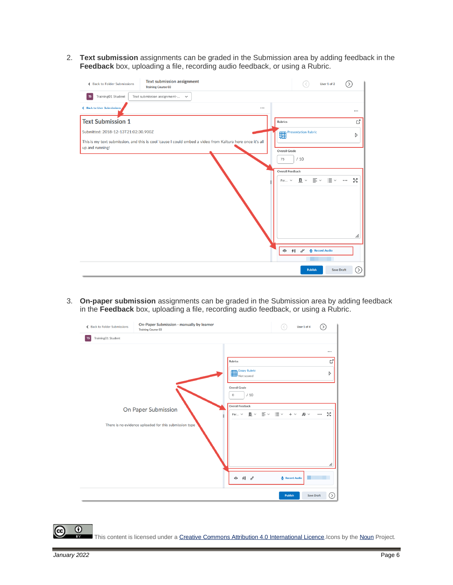2. **Text submission** assignments can be graded in the Submission area by adding feedback in the **Feedback** box, uploading a file, recording audio feedback, or using a Rubric.

| ← Back to Folder Submissions        | <b>Text submission assignment</b><br><b>Training Course 03</b>                                            |                            | User 1 of 2             | $\rightarrow$  |
|-------------------------------------|-----------------------------------------------------------------------------------------------------------|----------------------------|-------------------------|----------------|
| Training01 Student<br><b>TS</b>     | Text submission assignment- ~                                                                             |                            |                         |                |
| ← Back to User Submissions          |                                                                                                           |                            |                         | $\cdots$       |
| <b>Text Submission 1</b>            |                                                                                                           | Rubrics                    |                         | ď              |
| Submitted: 2018-12-13T21:02:30.900Z |                                                                                                           | Presentation Rubric        |                         | D              |
| up and running!                     | This is my text submission, and this is cool 'cause I could embed a video from Kaltura here once it's all |                            |                         |                |
|                                     |                                                                                                           | Overall Grade<br>/10<br>75 |                         |                |
|                                     |                                                                                                           | Overall Feedback           |                         |                |
|                                     |                                                                                                           | $B \sim$<br>Par $\vee$     | ਂ≣ ∼<br>$\equiv$ $\sim$ | 5g<br>$\cdots$ |
|                                     |                                                                                                           |                            |                         |                |
|                                     |                                                                                                           |                            |                         |                |
|                                     |                                                                                                           |                            |                         |                |
|                                     |                                                                                                           |                            |                         |                |
|                                     |                                                                                                           |                            |                         | h.             |
|                                     |                                                                                                           |                            |                         |                |
|                                     |                                                                                                           | 48<br>$\delta^{\rho}$      | Record Audio            |                |
|                                     |                                                                                                           |                            |                         |                |
|                                     |                                                                                                           | <b>Publish</b>             | <b>Save Draft</b>       | ⊙              |

3. **On-paper submission** assignments can be graded in the Submission area by adding feedback in the **Feedback** box, uploading a file, recording audio feedback, or using a Rubric.



This content is licensed under [a Creative Commons Attribution 4.0 International Licence.I](https://creativecommons.org/licenses/by/4.0/)cons by th[e Noun](https://creativecommons.org/website-icons/) Project.

 $\odot$